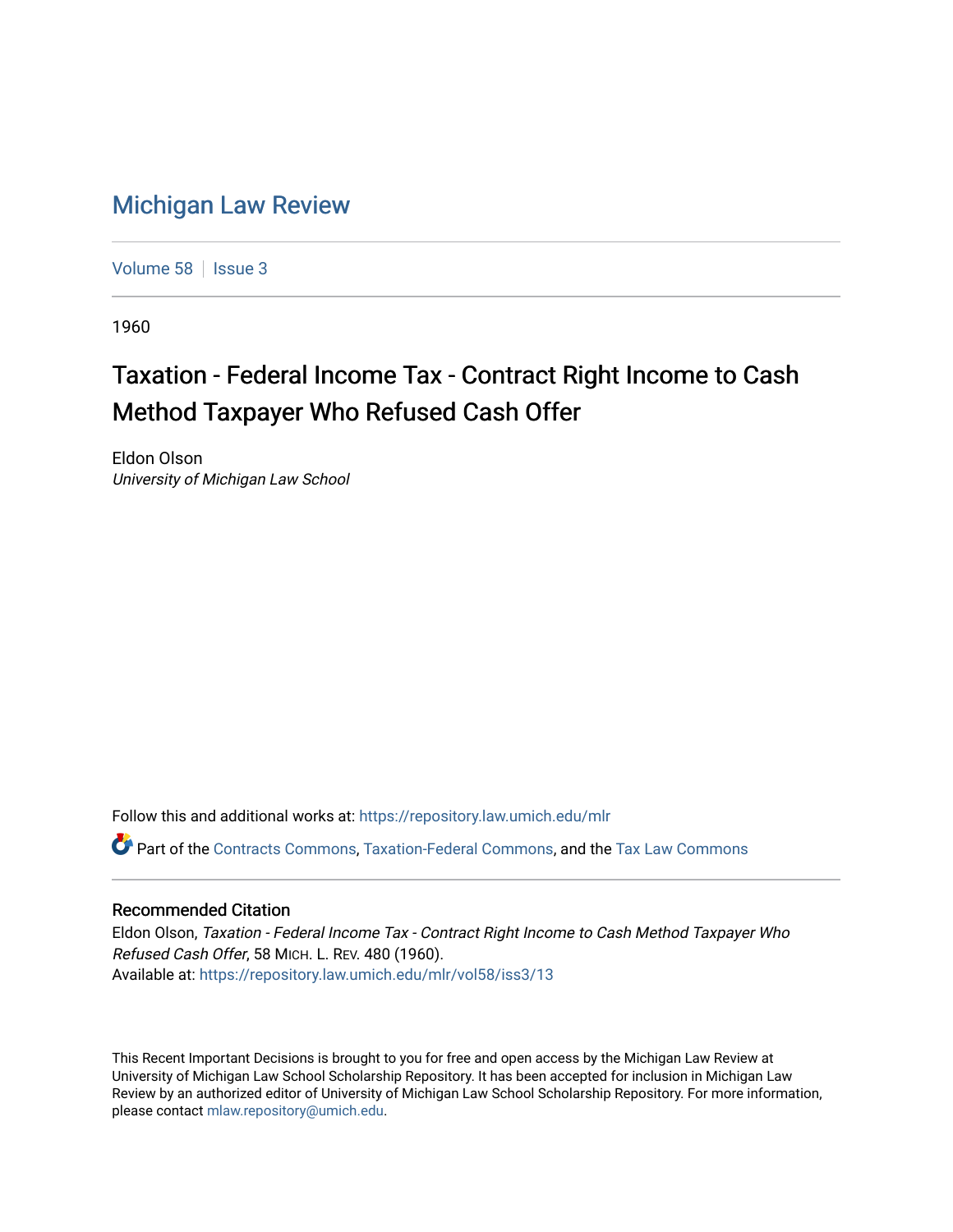## [Michigan Law Review](https://repository.law.umich.edu/mlr)

[Volume 58](https://repository.law.umich.edu/mlr/vol58) | [Issue 3](https://repository.law.umich.edu/mlr/vol58/iss3)

1960

## Taxation - Federal Income Tax - Contract Right Income to Cash Method Taxpayer Who Refused Cash Offer

Eldon Olson University of Michigan Law School

Follow this and additional works at: [https://repository.law.umich.edu/mlr](https://repository.law.umich.edu/mlr?utm_source=repository.law.umich.edu%2Fmlr%2Fvol58%2Fiss3%2F13&utm_medium=PDF&utm_campaign=PDFCoverPages) 

Part of the [Contracts Commons](http://network.bepress.com/hgg/discipline/591?utm_source=repository.law.umich.edu%2Fmlr%2Fvol58%2Fiss3%2F13&utm_medium=PDF&utm_campaign=PDFCoverPages), [Taxation-Federal Commons,](http://network.bepress.com/hgg/discipline/881?utm_source=repository.law.umich.edu%2Fmlr%2Fvol58%2Fiss3%2F13&utm_medium=PDF&utm_campaign=PDFCoverPages) and the [Tax Law Commons](http://network.bepress.com/hgg/discipline/898?utm_source=repository.law.umich.edu%2Fmlr%2Fvol58%2Fiss3%2F13&utm_medium=PDF&utm_campaign=PDFCoverPages) 

## Recommended Citation

Eldon Olson, Taxation - Federal Income Tax - Contract Right Income to Cash Method Taxpayer Who Refused Cash Offer, 58 MICH. L. REV. 480 (1960). Available at: [https://repository.law.umich.edu/mlr/vol58/iss3/13](https://repository.law.umich.edu/mlr/vol58/iss3/13?utm_source=repository.law.umich.edu%2Fmlr%2Fvol58%2Fiss3%2F13&utm_medium=PDF&utm_campaign=PDFCoverPages) 

This Recent Important Decisions is brought to you for free and open access by the Michigan Law Review at University of Michigan Law School Scholarship Repository. It has been accepted for inclusion in Michigan Law Review by an authorized editor of University of Michigan Law School Scholarship Repository. For more information, please contact [mlaw.repository@umich.edu.](mailto:mlaw.repository@umich.edu)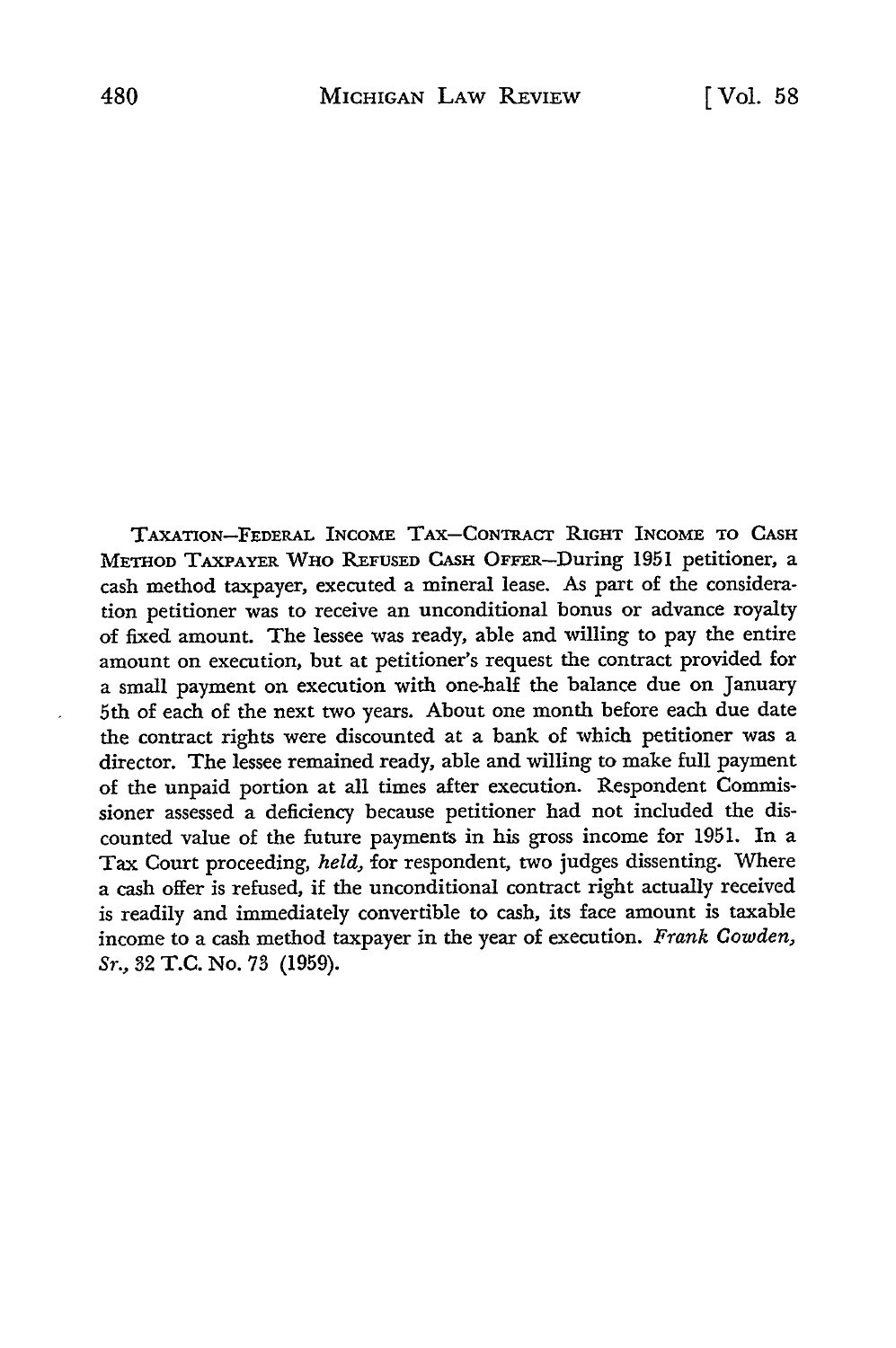TAXATION-FEDERAL INCOME TAX-CONTRACT RiGHT INCOME TO **CASH** METHOD TAXPAYER WHO **REFUSED CASH** OFFER-During 1951 petitioner, a cash method taxpayer, executed a mineral lease. As part of the consideration petitioner was to receive an unconditional bonus or advance royalty of fixed amount. The lessee was ready, able and willing to pay the entire amount on execution, but at petitioner's request the contract provided for a small payment on execution with one-half the balance due on January 5th of each of the next two years. About one month before each due date the contract rights were discounted at a bank of which petitioner was a director. The lessee remained ready, able and willing to make full payment of the unpaid portion at all times after execution. Respondent Commissioner assessed a deficiency because petitioner had not included the discounted value of the future payments in his gross income for 1951. In a Tax Court proceeding, *held,* for respondent, two judges dissenting. Where a cash offer is refused, if the unconditional contract right actually received is readily and immediately convertible to cash, its face amount is taxable income to a cash method taxpayer in the year of execution. *Frank Cowden, Sr.,* 32 T.C. No. **73** (1959).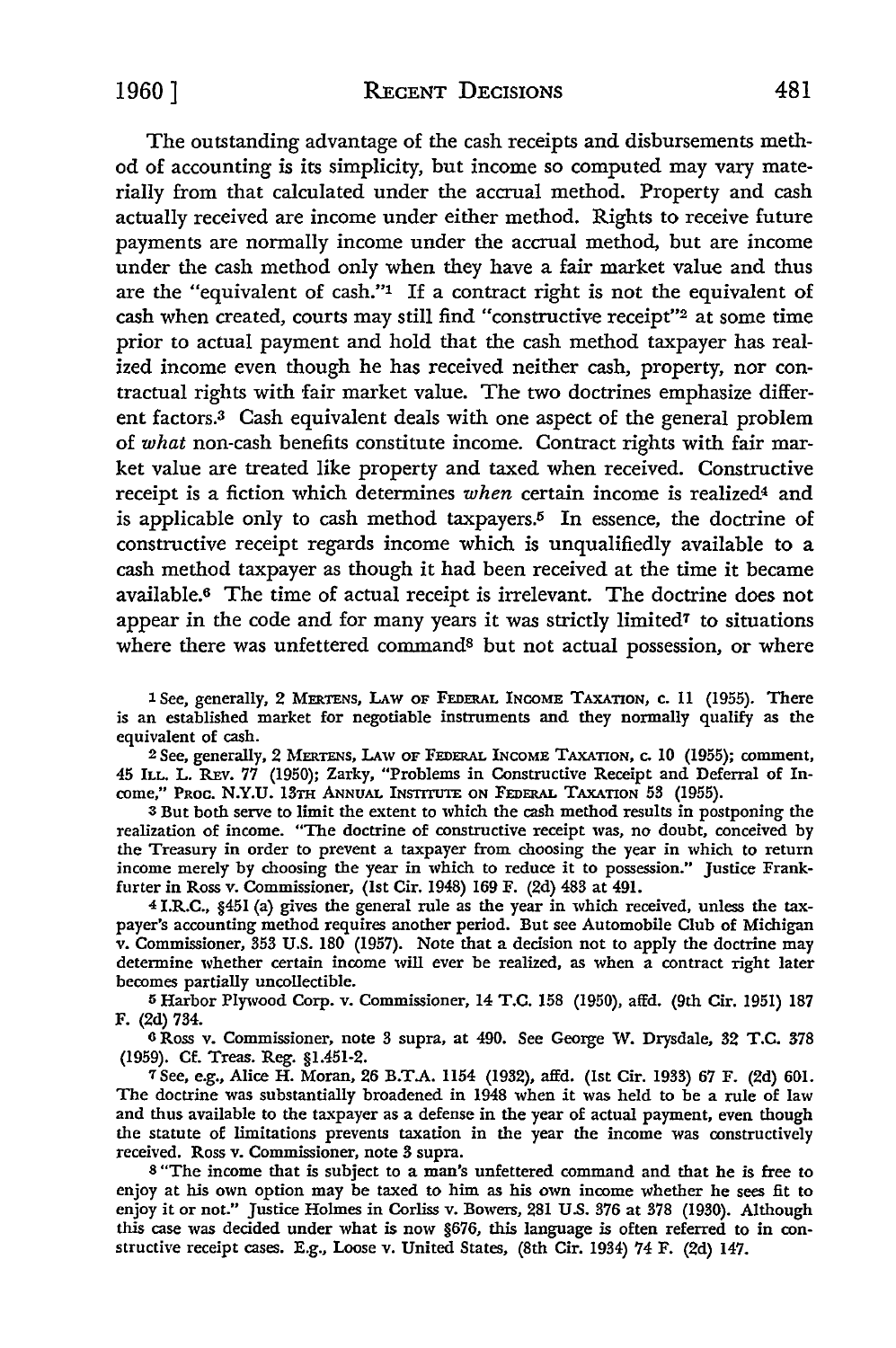**1960 ] RECENT** DECISIONS

The outstanding advantage of the cash receipts and disbursements method of accounting is its simplicity, but income so computed may vary materially from that calculated under the accrual method. Property and cash actually received are income under either method. Rights to receive future payments are normally income under the accrual method, but are income under the cash method only when they have a fair market value and thus are the "equivalent of cash."<sup>1</sup> If a contract right is not the equivalent of cash when created, courts may still find "constructive receipt"<sup>2</sup> at some time prior to actual payment and hold that the cash method taxpayer has realized income even though he has received neither cash, property, nor contractual rights with fair market value. The two doctrines emphasize different factors.3 Cash equivalent deals with one aspect of the general problem of *what* non-cash benefits constitute income. Contract rights with fair market value are treated like property and taxed when received. Constructive receipt is a fiction which determines *when* certain income is realized<sup>4</sup> and is applicable only to cash method taxpayers.<sup>5</sup> In essence, the doctrine of constructive receipt regards income which is unqualifiedly available to a cash method taxpayer as though it had been received at the time it became available.<sup>6</sup> The time of actual receipt is irrelevant. The doctrine does not appear in the code and for many years it was strictly limited<sup> $\tau$ </sup> to situations where there was unfettered command<sup>8</sup> but not actual possession, or where

1 See, generally, 2 METENs, LAw **OF FEDERAL** INCOME TAXATION, **C. 11 (1955).** There is an established market for negotiable instruments and they normally qualify as the equivalent of cash.

2 See, generally, 2 **MERTFNs, LAw OF FEDE A. INCOME** TAXATION, **C. 10 (1955);** comment, 45 **ILL.** L. REv. **77 (1950);** Zarky, "Problems in Constructive Receipt and Deferral of Income," PROC. **N.Y.U. 13TH ANNUAL** INsrrrtrE **ON** FEmtAL TAXATION **53 (1955).**

**3** But both serve to limit the extent to which the cash method results in postponing the realization of income. "The doctrine of constructive receipt was, no doubt, conceived **by** the Treasury in order to prevent a taxpayer from choosing the year in which to return income merely **by** choosing the year in which to reduce it to possession." Justice Frankfurter in Ross v. Commissioner, (1st Cir. 1948) **169** F. (2d) 483 at 491.

**4** I.R.C., §451 (a) gives the general rule as the year in which received, unless the taxpayer's accounting method requires another period. But see Automobile Club of Michigan **v.** Commissioner, **353 U.S. 180 (1957).** Note that a decision not to apply the doctrine may determine whether certain income will ever be realized, as when a contract right later becomes partially uncollectible.

**5** Harbor Plywood Corp. v. Commissioner, 14 **T.C. 158 (1950),** affd. (9th Cir. **1951) 187** F. **(2d)** 734.

**0** Ross v. Commissioner, note 3 supra, at 490. See George W. Drysdale, **32 T.C. 378 (1959). Cf.** Treas. Reg. §1.451-2. <sup>7</sup> See, e.g., Alice H. Moran, **26** B.T.A. 1154 **(1932),** affd. (1st Cir. **1933) 67** F. **(2d) 601.**

The doctrine was substantially broadened in 1948 when it was held to be a rule of law and thus available to the taxpayer as a defense in the year of actual payment, even though the statute of limitations prevents taxation in the year the income was constructively received. Ross v. Commissioner, note 3 supra.

**<sup>8</sup>**"The income that is subject to a man's unfettered command and that he is free to enjoy at **his** own option may be taxed to him as his own income whether he **sees** fit to enjoy it or not." Justice Holmes in Corliss v. **Bowers,** 281 **U.S. 376** at **378 (1930).** Although **this** case was decided under what is now **§676,** this language is often referred to in constructive receipt cases. **E.g.,** Loose v. United States, (8th Cir. 1934) 74 F. **(2d)** 147.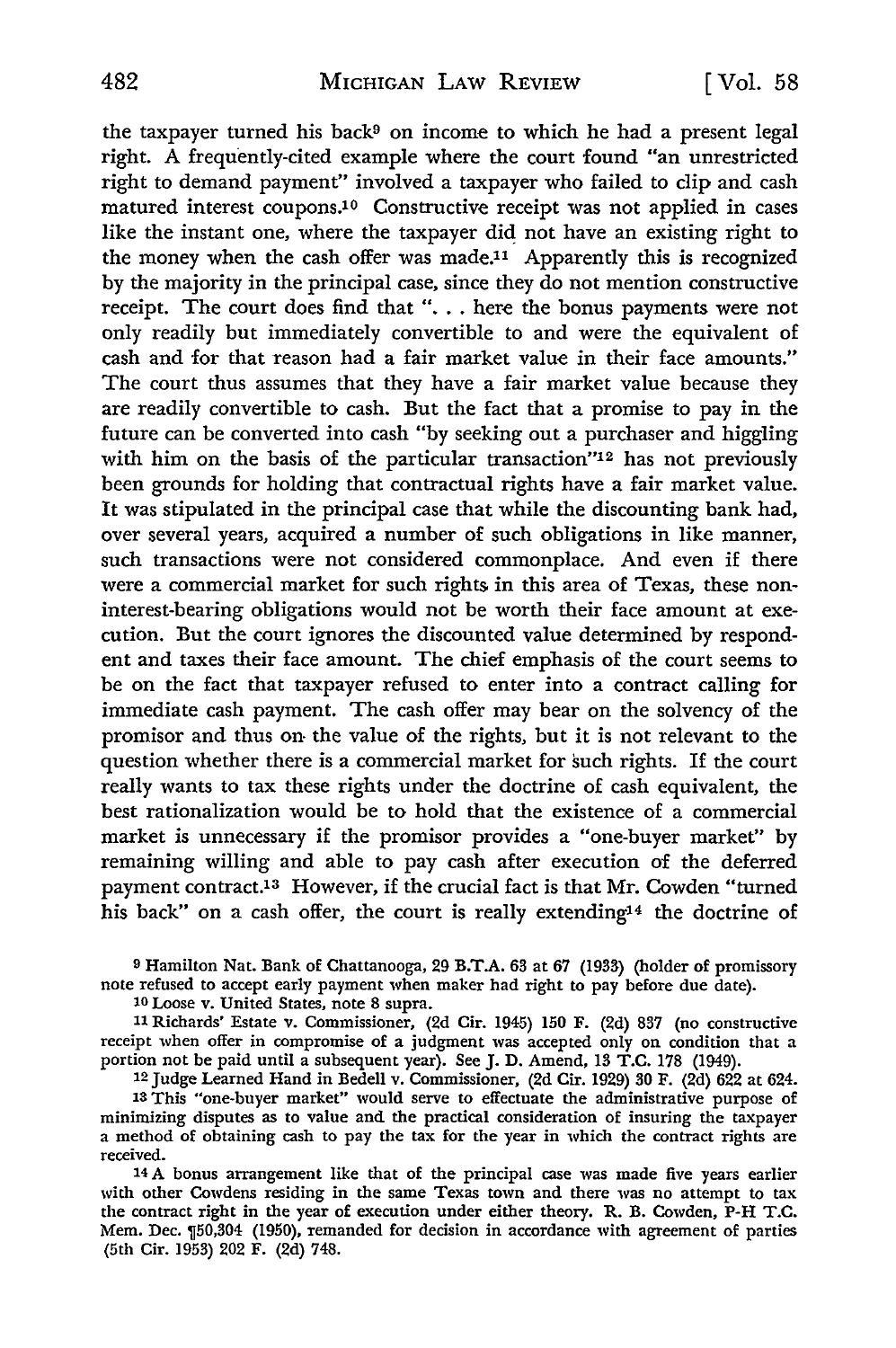the taxpayer turned his back<sup>9</sup> on income to which he had a present legal right. A frequently-cited example where the court found "an unrestricted right to demand payment" involved a taxpayer who failed to clip and cash matured interest coupons.<sup>10</sup> Constructive receipt was not applied in cases like the instant one, where the taxpayer did not have an existing right to the money when the cash offer was made.<sup>11</sup> Apparently this is recognized by the majority in the principal case, since they do not mention constructive receipt. The court does find that **"....** here the bonus payments were not only readily but immediately convertible to and were the equivalent of cash and for that reason had a fair market value in their face amounts." The court thus assumes that they have a fair market value because they are readily convertible to cash. But the fact that a promise to pay in the future can be converted into cash "by seeking out a purchaser and higgling with him on the basis of the particular transaction"<sup>12</sup> has not previously been grounds for holding that contractual rights have a fair market value. It was stipulated in the principal case that while the discounting bank had, over several years, acquired a number of such obligations in like manner, such transactions were not considered commonplace. And even if there were a commercial market for such rights in this area of Texas, these noninterest-bearing obligations would not be worth their face amount at execution. But the court ignores the discounted value determined by respondent and taxes their face amount. The chief emphasis of the court seems to be on the fact that taxpayer refused to enter into a contract calling for immediate cash payment. The cash offer may bear on the solvency of the promisor and thus on- the value of the rights, but it is not relevant to the question whether there is a commercial market for such rights. If the court really wants to tax these rights under the doctrine of cash equivalent, the best rationalization would be to hold that the existence of a commercial market is unnecessary if the promisor provides a "one-buyer market" by remaining willing and able to pay cash after execution of the deferred payment contract. 13 However, if the crucial fact is that Mr. Cowden "turned his back" on a cash offer, the court is really extending<sup>14</sup> the doctrine of

**9** Hamilton Nat. Bank of Chattanooga, 29 B.T.A. **63** at **67 (1933)** (holder **of** promissory note refused to accept early payment when maker had right to pay before due date).

**10** Loose v. United States, note 8 supra.

**11** Richards' Estate v. Commissioner, (2d Cir. 1945) **150** F. (2d) **837** (no constructive receipt when offer in compromise of a judgment was accepted only on condition that a portion not be paid until a subsequent year). See J. D. Amend, **13** T.C. 178 (1949).

**12** Judge Learned Hand in Bedell v. Commissioner, (2d Cir. 1929) **30** F. (2d) 622 at 624.

**13** This "one-buyer market" would serve to effectuate the administrative purpose of minimizing disputes as to value and the practical consideration of insuring the taxpayer a method of obtaining cash to pay the tax for the year in which the contract rights are received.

14 A bonus arrangement like that of the principal case was made five years earlier with other Cowdens residing in the same Texas town and there was no attempt to tax the contract right in the year of execution under either theory. R. B. Cowden, P-H T.C. Mem. Dec. [50,304 (1950), remanded for decision in accordance with agreement of parties (5th Cir. **1953)** 202 F. (2d) 748.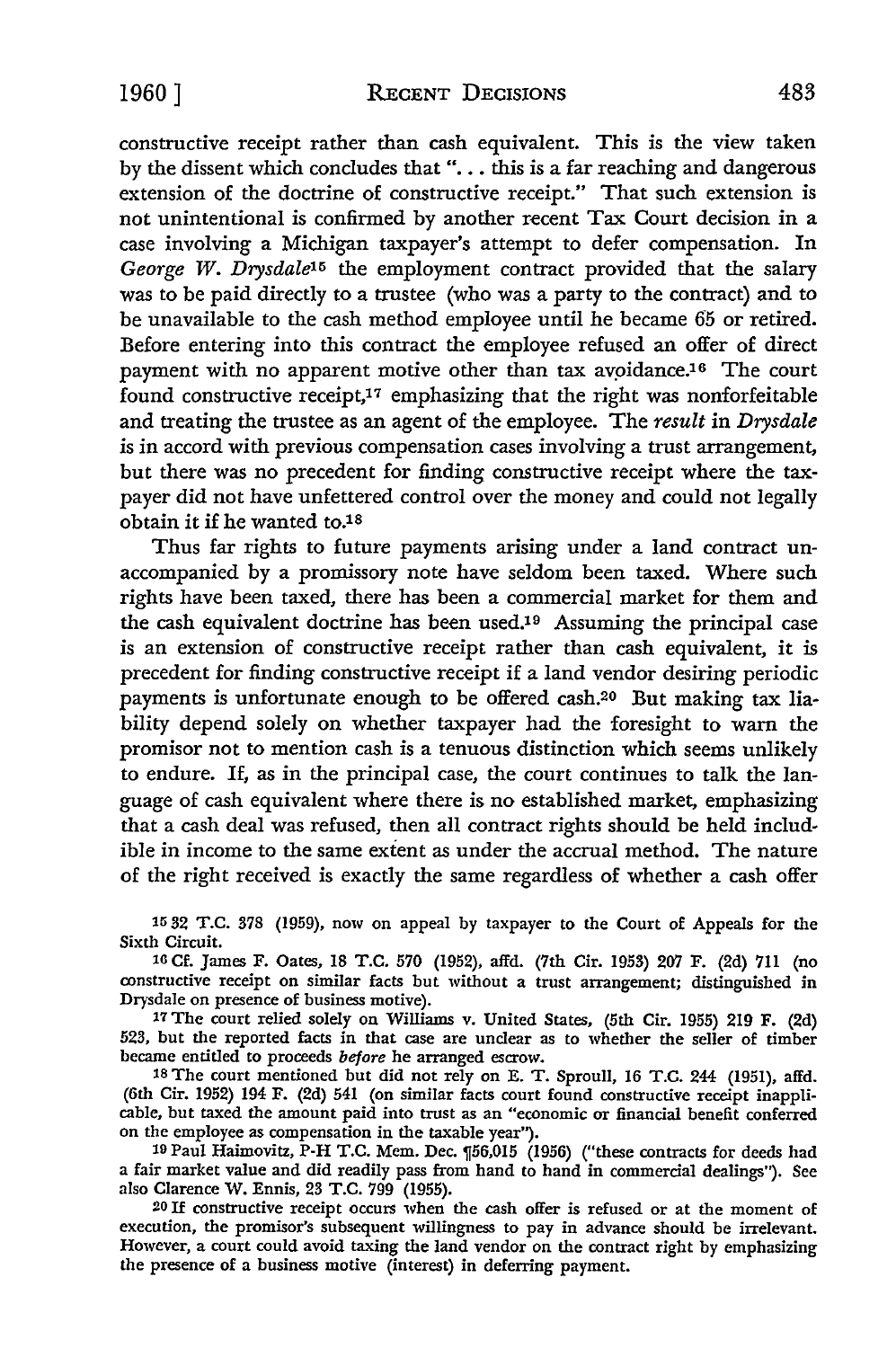RECENT DECISIONS

constructive receipt rather than cash equivalent. This is the view taken by the dissent which concludes that **"....** this is a far reaching and dangerous extension of the doctrine of constructive receipt." That such extension is not unintentional is confirmed **by** another recent Tax Court decision in a case involving a Michigan taxpayer's attempt to defer compensation. In *George W. Drysdale'5* the employment contract provided that the salary was to be paid directly to a trustee (who was a party to the contract) and to be unavailable to the cash method employee until he became 65 or retired. Before entering into this contract the employee refused an offer of direct payment with no apparent motive other than tax avoidance.<sup>16</sup> The court found constructive receipt, $17$  emphasizing that the right was nonforfeitable and treating the trustee as an agent of the employee. The *result* in *Drysdale* is in accord with previous compensation cases involving a trust arrangement, but there was no precedent for finding constructive receipt where the taxpayer did not have unfettered control over the money and could not legally obtain it if he wanted to.<sup>18</sup>

Thus far rights to future payments arising under a land contract unaccompanied by a promissory note have seldom been taxed. Where such rights have been taxed, there has been a commercial market for them and the cash equivalent doctrine has been used.19 Assuming the principal case is an extension of constructive receipt rather than cash equivalent, it is precedent for finding constructive receipt if a land vendor desiring periodic payments is unfortunate enough to be offered cash.20 But making tax liability depend solely on whether taxpayer had the foresight to warn the promisor not to mention cash is a tenuous distinction which seems unlikely to endure. If, as in the principal case, the court continues to talk the language of cash equivalent where there is no established market, emphasizing that a cash deal was refused, then all contract rights should be held includible in income to the same extent as under the accrual method. The nature of the right received is exactly the same regardless of whether a cash offer

15 32 T.C. **378 (1959),** now on appeal **by** taxpayer to the Court of Appeals for the Sixth Circuit.

**16 Cf.** James F. Oates, **18 T.C. 570 (1952),** affd. (7th Cir. **1953) 207** F. **(2d) 711** (no constructive receipt on similar facts but without a trust arrangement; distinguished in Drysdale on presence of business motive).

<sup>17</sup>**The** court relied solely on Williams v. United States, (5th Cir. **1955) 219** F. (2d) 523, but the reported facts in that case are unclear as to whether the seller of timber became entitled to proceeds *before* he arranged escrow.

**<sup>18</sup>**The court mentioned but did not rely on **E.** T. Sproull, **16 T.C.** 244 **(1951),** affd. (6th Cir. **1952)** 194 F. (2d) 541 (on similar facts court found constructive receipt inapplicable, but taxed the amount paid into trust as an "economic or financial benefit conferred on the employee as compensation in the taxable year').

**19** Paul Haimovitz, P-H T.C. Mem. Dec. **56,015** (1956) ("these contracts for deeds had a fair market value and did readily pass from hand to hand in commercial dealings"). See also Clarence W. Ennis, **23** T.C. **799 (1955).**

**<sup>20</sup>**If constructive receipt occurs when the cash offer is refused or at the moment of execution, the promisor's subsequent willingness to pay in advance should be irrelevant. However, a court could avoid taxing the land vendor on the contract right by emphasizing the presence of a business motive (interest) in deferring payment.